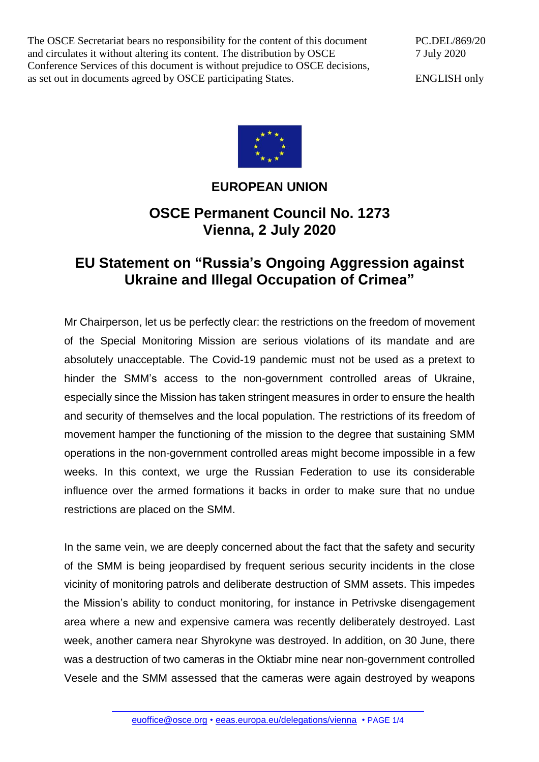The OSCE Secretariat bears no responsibility for the content of this document and circulates it without altering its content. The distribution by OSCE Conference Services of this document is without prejudice to OSCE decisions, as set out in documents agreed by OSCE participating States.

PC.DEL/869/20 7 July 2020

ENGLISH only



## **EUROPEAN UNION**

## **OSCE Permanent Council No. 1273 Vienna, 2 July 2020**

## **EU Statement on "Russia's Ongoing Aggression against Ukraine and Illegal Occupation of Crimea"**

Mr Chairperson, let us be perfectly clear: the restrictions on the freedom of movement of the Special Monitoring Mission are serious violations of its mandate and are absolutely unacceptable. The Covid-19 pandemic must not be used as a pretext to hinder the SMM's access to the non-government controlled areas of Ukraine, especially since the Mission has taken stringent measures in order to ensure the health and security of themselves and the local population. The restrictions of its freedom of movement hamper the functioning of the mission to the degree that sustaining SMM operations in the non-government controlled areas might become impossible in a few weeks. In this context, we urge the Russian Federation to use its considerable influence over the armed formations it backs in order to make sure that no undue restrictions are placed on the SMM.

In the same vein, we are deeply concerned about the fact that the safety and security of the SMM is being jeopardised by frequent serious security incidents in the close vicinity of monitoring patrols and deliberate destruction of SMM assets. This impedes the Mission's ability to conduct monitoring, for instance in Petrivske disengagement area where a new and expensive camera was recently deliberately destroyed. Last week, another camera near Shyrokyne was destroyed. In addition, on 30 June, there was a destruction of two cameras in the Oktiabr mine near non-government controlled Vesele and the SMM assessed that the cameras were again destroyed by weapons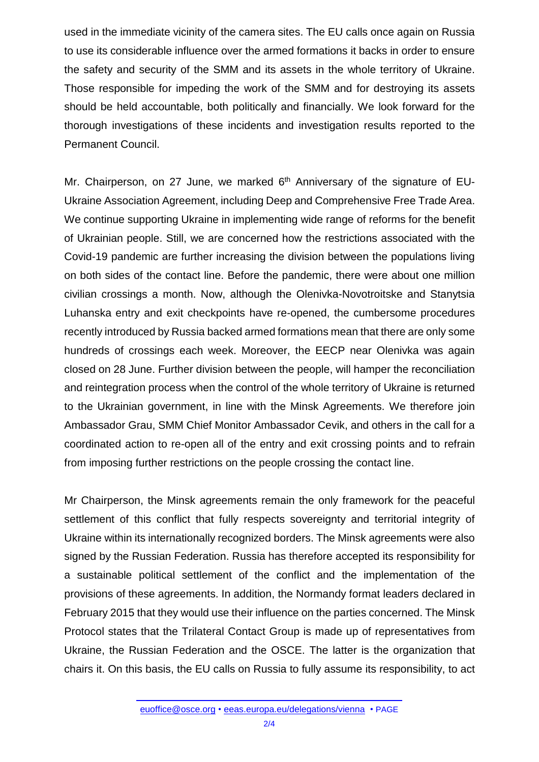used in the immediate vicinity of the camera sites. The EU calls once again on Russia to use its considerable influence over the armed formations it backs in order to ensure the safety and security of the SMM and its assets in the whole territory of Ukraine. Those responsible for impeding the work of the SMM and for destroying its assets should be held accountable, both politically and financially. We look forward for the thorough investigations of these incidents and investigation results reported to the Permanent Council.

Mr. Chairperson, on 27 June, we marked 6<sup>th</sup> Anniversary of the signature of EU-Ukraine Association Agreement, including Deep and Comprehensive Free Trade Area. We continue supporting Ukraine in implementing wide range of reforms for the benefit of Ukrainian people. Still, we are concerned how the restrictions associated with the Covid-19 pandemic are further increasing the division between the populations living on both sides of the contact line. Before the pandemic, there were about one million civilian crossings a month. Now, although the Olenivka-Novotroitske and Stanytsia Luhanska entry and exit checkpoints have re-opened, the cumbersome procedures recently introduced by Russia backed armed formations mean that there are only some hundreds of crossings each week. Moreover, the EECP near Olenivka was again closed on 28 June. Further division between the people, will hamper the reconciliation and reintegration process when the control of the whole territory of Ukraine is returned to the Ukrainian government, in line with the Minsk Agreements. We therefore join Ambassador Grau, SMM Chief Monitor Ambassador Cevik, and others in the call for a coordinated action to re-open all of the entry and exit crossing points and to refrain from imposing further restrictions on the people crossing the contact line.

Mr Chairperson, the Minsk agreements remain the only framework for the peaceful settlement of this conflict that fully respects sovereignty and territorial integrity of Ukraine within its internationally recognized borders. The Minsk agreements were also signed by the Russian Federation. Russia has therefore accepted its responsibility for a sustainable political settlement of the conflict and the implementation of the provisions of these agreements. In addition, the Normandy format leaders declared in February 2015 that they would use their influence on the parties concerned. The Minsk Protocol states that the Trilateral Contact Group is made up of representatives from Ukraine, the Russian Federation and the OSCE. The latter is the organization that chairs it. On this basis, the EU calls on Russia to fully assume its responsibility, to act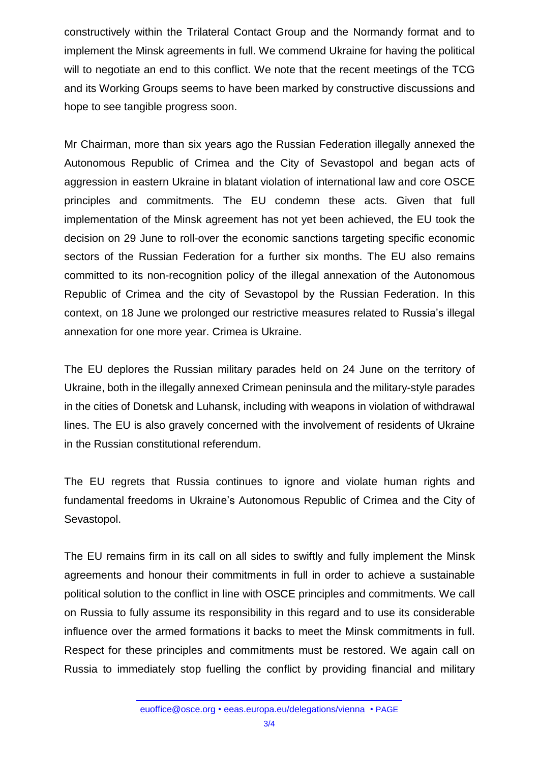constructively within the Trilateral Contact Group and the Normandy format and to implement the Minsk agreements in full. We commend Ukraine for having the political will to negotiate an end to this conflict. We note that the recent meetings of the TCG and its Working Groups seems to have been marked by constructive discussions and hope to see tangible progress soon.

Mr Chairman, more than six years ago the Russian Federation illegally annexed the Autonomous Republic of Crimea and the City of Sevastopol and began acts of aggression in eastern Ukraine in blatant violation of international law and core OSCE principles and commitments. The EU condemn these acts. Given that full implementation of the Minsk agreement has not yet been achieved, the EU took the decision on 29 June to roll-over the economic sanctions targeting specific economic sectors of the Russian Federation for a further six months. The EU also remains committed to its non-recognition policy of the illegal annexation of the Autonomous Republic of Crimea and the city of Sevastopol by the Russian Federation. In this context, on 18 June we prolonged our restrictive measures related to Russia's illegal annexation for one more year. Crimea is Ukraine.

The EU deplores the Russian military parades held on 24 June on the territory of Ukraine, both in the illegally annexed Crimean peninsula and the military-style parades in the cities of Donetsk and Luhansk, including with weapons in violation of withdrawal lines. The EU is also gravely concerned with the involvement of residents of Ukraine in the Russian constitutional referendum.

The EU regrets that Russia continues to ignore and violate human rights and fundamental freedoms in Ukraine's Autonomous Republic of Crimea and the City of Sevastopol.

The EU remains firm in its call on all sides to swiftly and fully implement the Minsk agreements and honour their commitments in full in order to achieve a sustainable political solution to the conflict in line with OSCE principles and commitments. We call on Russia to fully assume its responsibility in this regard and to use its considerable influence over the armed formations it backs to meet the Minsk commitments in full. Respect for these principles and commitments must be restored. We again call on Russia to immediately stop fuelling the conflict by providing financial and military